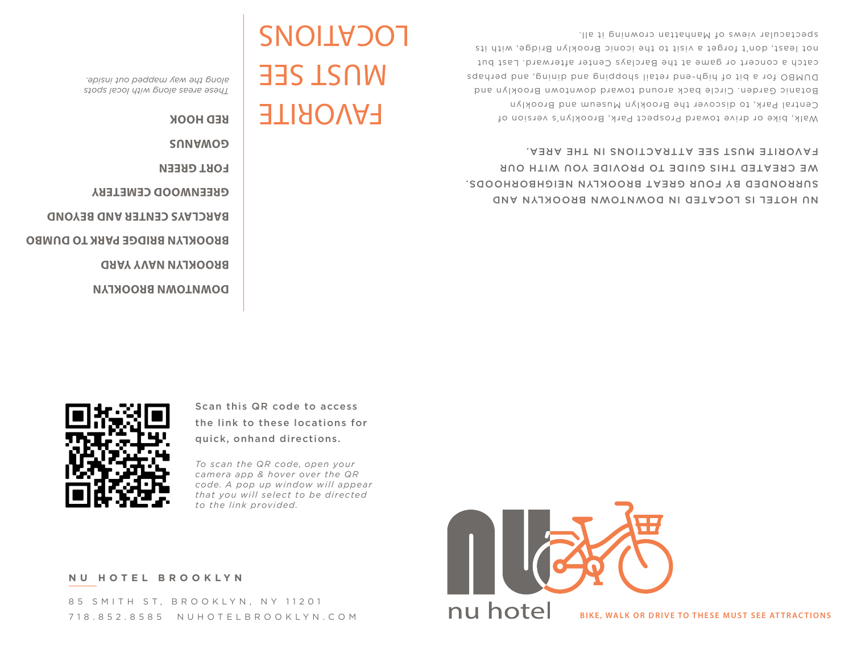85 SMITH ST, BROOKLYN, NY 11201 718.852.8585 NUHOTELBROOKLYN.COM

**NU HOTEL BROOKLYN**



**BIKE, WALK OR DRIVE TO THESE MUST SEE ATTRACTIONS** 





*that you will select to be directed* 

*to the link provided.*



Scan this QR code to access the link to these locations for

**FAVORITE GOWANUS RED HOOK**

*These areas along with local spots along the way mapped out inside.*

MUST SEE

**GREENWOOD CEMETERY FORT GREEN**

LOCATIONS

**BARCLAYS CENTER AND BEYOND**

**BROOKLYN BRIDGE PARK TO DUMBO**

**BROOKLYN NAVY YARD**

**DOWNTOWN BROOKLYN**

NU HOTEL IS LOCATED IN DOWNTOWN BROOKLYN AND SURRONDED BY FOUR GREAT BROOKLYN NEIGHBORHOODS. WE CREATED THIS GUIDE TO PROVIDE YOU WITH OUR FAVORITE MUST SEE ATTRACTIONS IN THE AREA.

Walk, bike or drive toward Prospect Park, Brooklyn's version of Central Park, to discover the Brooklyn Museum and Brooklyn Botanic Garden. Circle back around toward downtown Brooklyn and DUMBO for a bit of high-end retail shopping and dining, and perhaps catch a concert or game at the Barclays Center afterward. Last but not least, don't forget a visit to the iconic Brooklyn Bridge, with its spectacular views of Manhattan crowning it all.